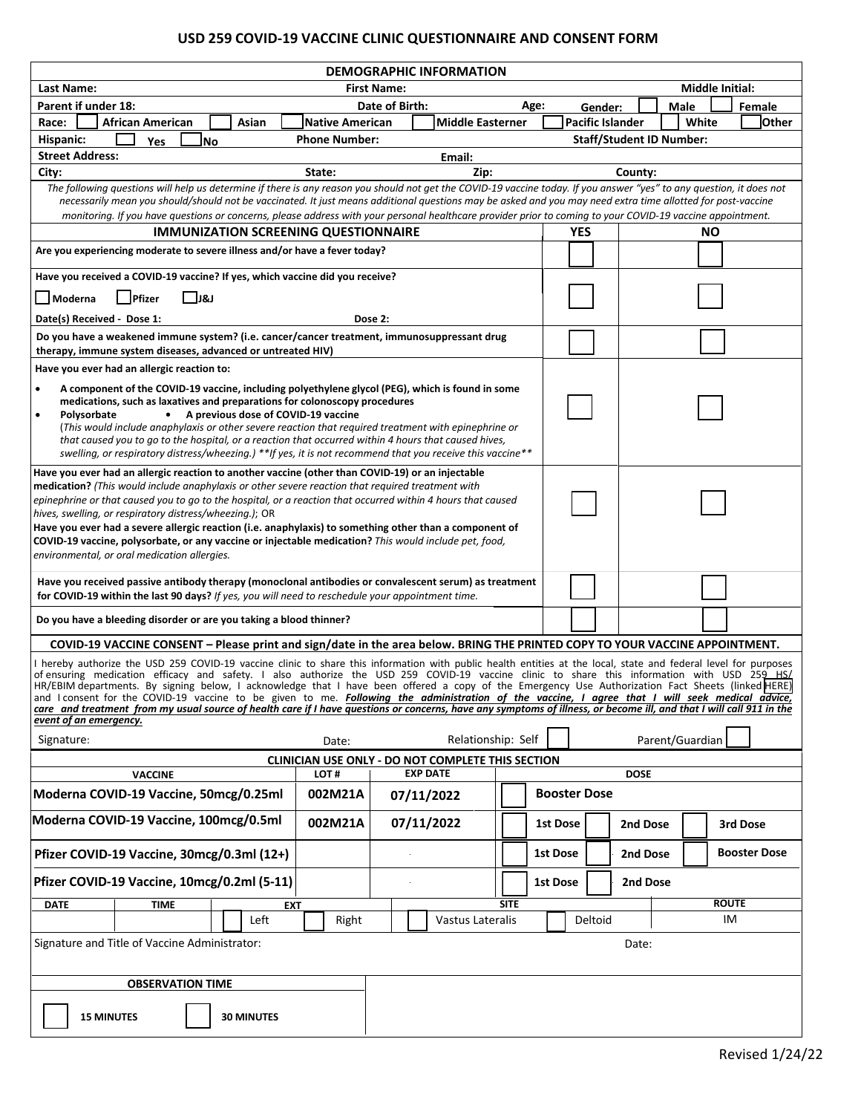## **USD 259 COVID-19 VACCINE CLINIC QUESTIONNAIRE AND CONSENT FORM**

| <b>DEMOGRAPHIC INFORMATION</b>                                                                                                                                                                                                                                                                                                                                                                                                                                                                                                                                                                                                                                                                                                                                                                                           |                        |                                        |            |                         |          |          |                     |                         |                                 |                     |          |        |        |  |  |
|--------------------------------------------------------------------------------------------------------------------------------------------------------------------------------------------------------------------------------------------------------------------------------------------------------------------------------------------------------------------------------------------------------------------------------------------------------------------------------------------------------------------------------------------------------------------------------------------------------------------------------------------------------------------------------------------------------------------------------------------------------------------------------------------------------------------------|------------------------|----------------------------------------|------------|-------------------------|----------|----------|---------------------|-------------------------|---------------------------------|---------------------|----------|--------|--------|--|--|
| Last Name:<br><b>First Name:</b>                                                                                                                                                                                                                                                                                                                                                                                                                                                                                                                                                                                                                                                                                                                                                                                         |                        |                                        |            |                         |          |          |                     |                         | Middle Initial:                 |                     |          |        |        |  |  |
| Parent if under 18:                                                                                                                                                                                                                                                                                                                                                                                                                                                                                                                                                                                                                                                                                                                                                                                                      | Date of Birth:<br>Age: |                                        |            |                         |          |          | Gender:             |                         |                                 | Male                |          | Female |        |  |  |
| <b>African American</b><br>Asian<br>Race:                                                                                                                                                                                                                                                                                                                                                                                                                                                                                                                                                                                                                                                                                                                                                                                | <b>Native American</b> |                                        |            | <b>Middle Easterner</b> |          |          |                     | <b>Pacific Islander</b> |                                 |                     | White    |        | lOther |  |  |
| Hispanic:<br><b>No</b><br>Yes                                                                                                                                                                                                                                                                                                                                                                                                                                                                                                                                                                                                                                                                                                                                                                                            | <b>Phone Number:</b>   |                                        |            |                         |          |          |                     |                         | <b>Staff/Student ID Number:</b> |                     |          |        |        |  |  |
| <b>Street Address:</b>                                                                                                                                                                                                                                                                                                                                                                                                                                                                                                                                                                                                                                                                                                                                                                                                   | State:                 |                                        |            | Email:<br>Zip:          |          |          |                     |                         |                                 |                     |          |        |        |  |  |
| City:                                                                                                                                                                                                                                                                                                                                                                                                                                                                                                                                                                                                                                                                                                                                                                                                                    |                        | County:                                |            |                         |          |          |                     |                         |                                 |                     |          |        |        |  |  |
| The following questions will help us determine if there is any reason you should not get the COVID-19 vaccine today. If you answer "yes" to any question, it does not<br>necessarily mean you should/should not be vaccinated. It just means additional questions may be asked and you may need extra time allotted for post-vaccine<br>monitoring. If you have questions or concerns, please address with your personal healthcare provider prior to coming to your COVID-19 vaccine appointment.                                                                                                                                                                                                                                                                                                                       |                        |                                        |            |                         |          |          |                     |                         |                                 |                     |          |        |        |  |  |
| <b>IMMUNIZATION SCREENING QUESTIONNAIRE</b>                                                                                                                                                                                                                                                                                                                                                                                                                                                                                                                                                                                                                                                                                                                                                                              |                        |                                        |            |                         |          |          | YES                 |                         | ΝO                              |                     |          |        |        |  |  |
| Are you experiencing moderate to severe illness and/or have a fever today?                                                                                                                                                                                                                                                                                                                                                                                                                                                                                                                                                                                                                                                                                                                                               |                        |                                        |            |                         |          |          |                     |                         |                                 |                     |          |        |        |  |  |
| Have you received a COVID-19 vaccine? If yes, which vaccine did you receive?                                                                                                                                                                                                                                                                                                                                                                                                                                                                                                                                                                                                                                                                                                                                             |                        |                                        |            |                         |          |          |                     |                         |                                 |                     |          |        |        |  |  |
| Pfizer<br>Moderna<br>ر&را_                                                                                                                                                                                                                                                                                                                                                                                                                                                                                                                                                                                                                                                                                                                                                                                               |                        |                                        |            |                         |          |          |                     |                         |                                 |                     |          |        |        |  |  |
| Dose 2:<br>Date(s) Received - Dose 1:                                                                                                                                                                                                                                                                                                                                                                                                                                                                                                                                                                                                                                                                                                                                                                                    |                        |                                        |            |                         |          |          |                     |                         |                                 |                     |          |        |        |  |  |
| Do you have a weakened immune system? (i.e. cancer/cancer treatment, immunosuppressant drug                                                                                                                                                                                                                                                                                                                                                                                                                                                                                                                                                                                                                                                                                                                              |                        |                                        |            |                         |          |          |                     |                         |                                 |                     |          |        |        |  |  |
| therapy, immune system diseases, advanced or untreated HIV)                                                                                                                                                                                                                                                                                                                                                                                                                                                                                                                                                                                                                                                                                                                                                              |                        |                                        |            |                         |          |          |                     |                         |                                 |                     |          |        |        |  |  |
| Have you ever had an allergic reaction to:                                                                                                                                                                                                                                                                                                                                                                                                                                                                                                                                                                                                                                                                                                                                                                               |                        |                                        |            |                         |          |          |                     |                         |                                 |                     |          |        |        |  |  |
| A component of the COVID-19 vaccine, including polyethylene glycol (PEG), which is found in some<br>$\bullet$<br>medications, such as laxatives and preparations for colonoscopy procedures<br>Polysorbate<br>A previous dose of COVID-19 vaccine<br>$\bullet$<br>$\bullet$<br>(This would include anaphylaxis or other severe reaction that required treatment with epinephrine or<br>that caused you to go to the hospital, or a reaction that occurred within 4 hours that caused hives,<br>swelling, or respiratory distress/wheezing.) **If yes, it is not recommend that you receive this vaccine**                                                                                                                                                                                                                |                        |                                        |            |                         |          |          |                     |                         |                                 |                     |          |        |        |  |  |
| Have you ever had an allergic reaction to another vaccine (other than COVID-19) or an injectable<br>medication? (This would include anaphylaxis or other severe reaction that required treatment with<br>epinephrine or that caused you to go to the hospital, or a reaction that occurred within 4 hours that caused<br>hives, swelling, or respiratory distress/wheezing.); OR<br>Have you ever had a severe allergic reaction (i.e. anaphylaxis) to something other than a component of<br>COVID-19 vaccine, polysorbate, or any vaccine or injectable medication? This would include pet, food,<br>environmental, or oral medication allergies.                                                                                                                                                                      |                        |                                        |            |                         |          |          |                     |                         |                                 |                     |          |        |        |  |  |
| Have you received passive antibody therapy (monoclonal antibodies or convalescent serum) as treatment<br>for COVID-19 within the last 90 days? If yes, you will need to reschedule your appointment time.                                                                                                                                                                                                                                                                                                                                                                                                                                                                                                                                                                                                                |                        |                                        |            |                         |          |          |                     |                         |                                 |                     |          |        |        |  |  |
| Do you have a bleeding disorder or are you taking a blood thinner?                                                                                                                                                                                                                                                                                                                                                                                                                                                                                                                                                                                                                                                                                                                                                       |                        |                                        |            |                         |          |          |                     |                         |                                 |                     |          |        |        |  |  |
| COVID-19 VACCINE CONSENT - Please print and sign/date in the area below. BRING THE PRINTED COPY TO YOUR VACCINE APPOINTMENT.                                                                                                                                                                                                                                                                                                                                                                                                                                                                                                                                                                                                                                                                                             |                        |                                        |            |                         |          |          |                     |                         |                                 |                     |          |        |        |  |  |
| I hereby authorize the USD 259 COVID-19 vaccine clinic to share this information with public health entities at the local, state and federal level for purposes<br>of ensuring medication efficacy and safety. I also authorize the USD 259 COVID-19 vaccine clinic to share this information with USD 259 HS/<br>HR/EBIM departments. By signing below, I acknowledge that I have been offered a copy of the Emergency Use Authorization Fact Sheets (linked HERE)<br>and I consent for the COVID-19 vaccine to be given to me. Following the administration of the vaccine, I agree that I will seek medical advice,<br>care and treatment from my usual source of health care if I have questions or concerns, have any symptoms of illness, or become ill, and that I will call 911 in the<br>event of an emergency. |                        |                                        |            |                         |          |          |                     |                         |                                 |                     |          |        |        |  |  |
| Relationship: Self<br>Parent/Guardian<br>Signature:<br>Date:                                                                                                                                                                                                                                                                                                                                                                                                                                                                                                                                                                                                                                                                                                                                                             |                        |                                        |            |                         |          |          |                     |                         |                                 |                     |          |        |        |  |  |
| <b>CLINICIAN USE ONLY - DO NOT COMPLETE THIS SECTION</b>                                                                                                                                                                                                                                                                                                                                                                                                                                                                                                                                                                                                                                                                                                                                                                 |                        |                                        |            |                         |          |          |                     |                         |                                 |                     |          |        |        |  |  |
| <b>EXP DATE</b><br><b>DOSE</b><br><b>VACCINE</b><br>LOT#                                                                                                                                                                                                                                                                                                                                                                                                                                                                                                                                                                                                                                                                                                                                                                 |                        |                                        |            |                         |          |          |                     |                         |                                 |                     |          |        |        |  |  |
| Moderna COVID-19 Vaccine, 50mcg/0.25ml                                                                                                                                                                                                                                                                                                                                                                                                                                                                                                                                                                                                                                                                                                                                                                                   |                        | 002M21A<br>07/11/2022                  |            |                         |          |          | <b>Booster Dose</b> |                         |                                 |                     |          |        |        |  |  |
| Moderna COVID-19 Vaccine, 100mcg/0.5ml<br>002M21A                                                                                                                                                                                                                                                                                                                                                                                                                                                                                                                                                                                                                                                                                                                                                                        |                        |                                        | 07/11/2022 |                         |          | 1st Dose |                     |                         | 2nd Dose                        |                     | 3rd Dose |        |        |  |  |
| Pfizer COVID-19 Vaccine, 30mcg/0.3ml (12+)                                                                                                                                                                                                                                                                                                                                                                                                                                                                                                                                                                                                                                                                                                                                                                               |                        |                                        |            |                         | 1st Dose |          |                     | 2nd Dose                |                                 | <b>Booster Dose</b> |          |        |        |  |  |
| Pfizer COVID-19 Vaccine, 10mcg/0.2ml (5-11)                                                                                                                                                                                                                                                                                                                                                                                                                                                                                                                                                                                                                                                                                                                                                                              |                        |                                        |            |                         |          |          | 1st Dose            |                         | 2nd Dose                        |                     |          |        |        |  |  |
| <b>DATE</b><br><b>TIME</b><br>Left                                                                                                                                                                                                                                                                                                                                                                                                                                                                                                                                                                                                                                                                                                                                                                                       | EXT<br>Right           | <b>SITE</b><br><b>Vastus Lateralis</b> |            |                         |          |          | Deltoid             |                         |                                 | <b>ROUTE</b><br>IM  |          |        |        |  |  |
| Signature and Title of Vaccine Administrator:                                                                                                                                                                                                                                                                                                                                                                                                                                                                                                                                                                                                                                                                                                                                                                            |                        |                                        |            |                         |          |          |                     |                         | Date:                           |                     |          |        |        |  |  |
|                                                                                                                                                                                                                                                                                                                                                                                                                                                                                                                                                                                                                                                                                                                                                                                                                          |                        |                                        |            |                         |          |          |                     |                         |                                 |                     |          |        |        |  |  |
| <b>OBSERVATION TIME</b>                                                                                                                                                                                                                                                                                                                                                                                                                                                                                                                                                                                                                                                                                                                                                                                                  |                        |                                        |            |                         |          |          |                     |                         |                                 |                     |          |        |        |  |  |
| <b>15 MINUTES</b><br><b>30 MINUTES</b>                                                                                                                                                                                                                                                                                                                                                                                                                                                                                                                                                                                                                                                                                                                                                                                   |                        |                                        |            |                         |          |          |                     |                         |                                 |                     |          |        |        |  |  |
|                                                                                                                                                                                                                                                                                                                                                                                                                                                                                                                                                                                                                                                                                                                                                                                                                          |                        |                                        |            |                         |          |          |                     |                         |                                 |                     |          |        |        |  |  |